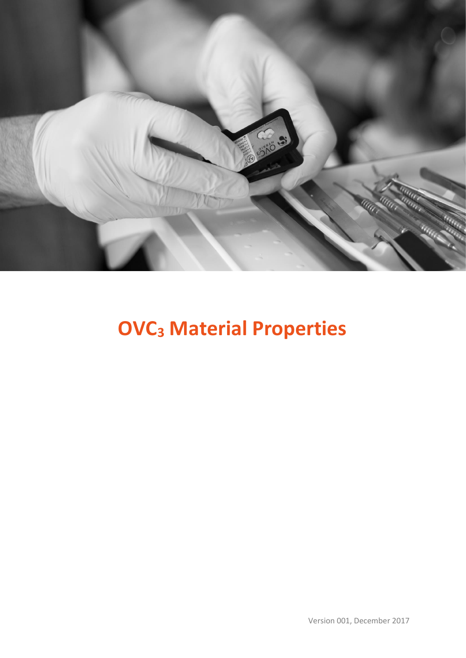

# **OVC<sup>3</sup> Material Properties**

Version 001, December 2017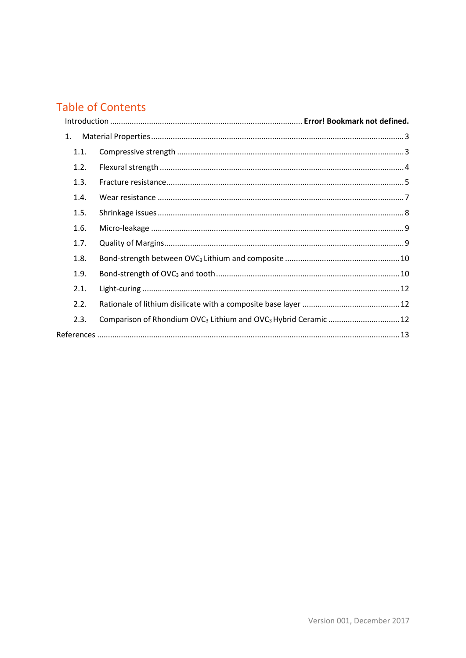## **Table of Contents**

| 1.   |                                                                                         |  |
|------|-----------------------------------------------------------------------------------------|--|
| 1.1. |                                                                                         |  |
| 1.2. |                                                                                         |  |
| 1.3. |                                                                                         |  |
| 1.4. |                                                                                         |  |
| 1.5. |                                                                                         |  |
| 1.6. |                                                                                         |  |
| 1.7. |                                                                                         |  |
| 1.8. |                                                                                         |  |
| 1.9. |                                                                                         |  |
| 2.1. |                                                                                         |  |
| 2.2. |                                                                                         |  |
| 2.3. | Comparison of Rhondium OVC <sub>3</sub> Lithium and OVC <sub>3</sub> Hybrid Ceramic  12 |  |
|      |                                                                                         |  |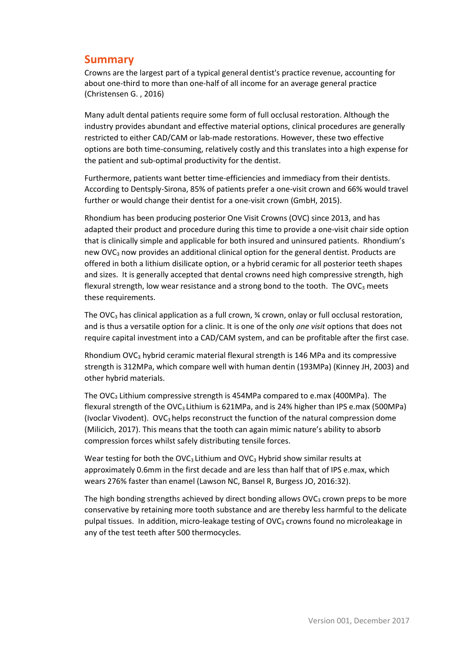## **Summary**

Crowns are the largest part of a typical general dentist's practice revenue, accounting for about one-third to more than one-half of all income for an average general practice (Christensen G. , 2016)

Many adult dental patients require some form of full occlusal restoration. Although the industry provides abundant and effective material options, clinical procedures are generally restricted to either CAD/CAM or lab-made restorations. However, these two effective options are both time-consuming, relatively costly and this translates into a high expense for the patient and sub-optimal productivity for the dentist.

Furthermore, patients want better time-efficiencies and immediacy from their dentists. According to Dentsply-Sirona, 85% of patients prefer a one-visit crown and 66% would travel further or would change their dentist for a one-visit crown (GmbH, 2015).

Rhondium has been producing posterior One Visit Crowns (OVC) since 2013, and has adapted their product and procedure during this time to provide a one-visit chair side option that is clinically simple and applicable for both insured and uninsured patients. Rhondium's new OVC<sub>3</sub> now provides an additional clinical option for the general dentist. Products are offered in both a lithium disilicate option, or a hybrid ceramic for all posterior teeth shapes and sizes. It is generally accepted that dental crowns need high compressive strength, high flexural strength, low wear resistance and a strong bond to the tooth. The  $OVC<sub>3</sub>$  meets these requirements.

The OVC<sub>3</sub> has clinical application as a full crown,  $\frac{3}{4}$  crown, onlay or full occlusal restoration, and is thus a versatile option for a clinic. It is one of the only *one visit* options that does not require capital investment into a CAD/CAM system, and can be profitable after the first case.

Rhondium OVC $_3$  hybrid ceramic material flexural strength is 146 MPa and its compressive strength is 312MPa, which compare well with human dentin (193MPa) (Kinney JH, 2003) and other hybrid materials.

The OVC<sup>3</sup> Lithium compressive strength is 454MPa compared to e.max (400MPa). The flexural strength of the OVC<sub>3</sub> Lithium is 621MPa, and is 24% higher than IPS e.max (500MPa) (Ivoclar Vivodent). OVC<sub>3</sub> helps reconstruct the function of the natural compression dome (Milicich, 2017). This means that the tooth can again mimic nature's ability to absorb compression forces whilst safely distributing tensile forces.

Wear testing for both the OVC<sub>3</sub> Lithium and OVC<sub>3</sub> Hybrid show similar results at approximately 0.6mm in the first decade and are less than half that of IPS e.max, which wears 276% faster than enamel (Lawson NC, Bansel R, Burgess JO, 2016:32).

The high bonding strengths achieved by direct bonding allows  $\mathsf{OVC}_3$  crown preps to be more conservative by retaining more tooth substance and are thereby less harmful to the delicate pulpal tissues. In addition, micro-leakage testing of OVC<sub>3</sub> crowns found no microleakage in any of the test teeth after 500 thermocycles.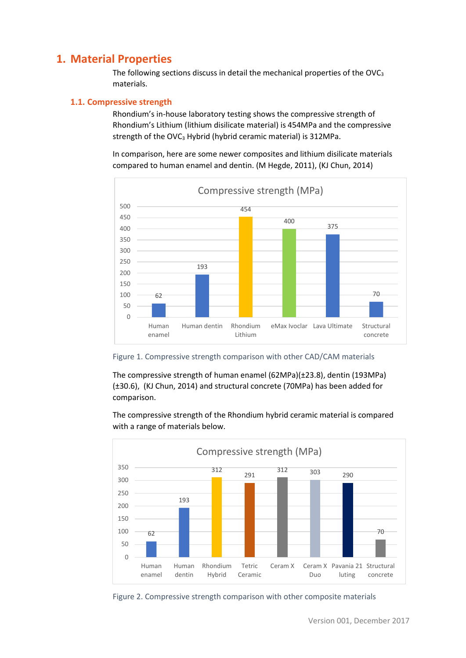## <span id="page-3-0"></span>**1. Material Properties**

The following sections discuss in detail the mechanical properties of the OVC<sub>3</sub> materials.

#### <span id="page-3-1"></span>**1.1. Compressive strength**

Rhondium's in-house laboratory testing shows the compressive strength of Rhondium's Lithium (lithium disilicate material) is 454MPa and the compressive strength of the OVC<sub>3</sub> Hybrid (hybrid ceramic material) is 312MPa.

In comparison, here are some newer composites and lithium disilicate materials compared to human enamel and dentin. (M Hegde, 2011), (KJ Chun, 2014)



Figure 1. Compressive strength comparison with other CAD/CAM materials

The compressive strength of human enamel (62MPa)(±23.8), dentin (193MPa) (±30.6), (KJ Chun, 2014) and structural concrete (70MPa) has been added for comparison.

The compressive strength of the Rhondium hybrid ceramic material is compared with a range of materials below.



Figure 2. Compressive strength comparison with other composite materials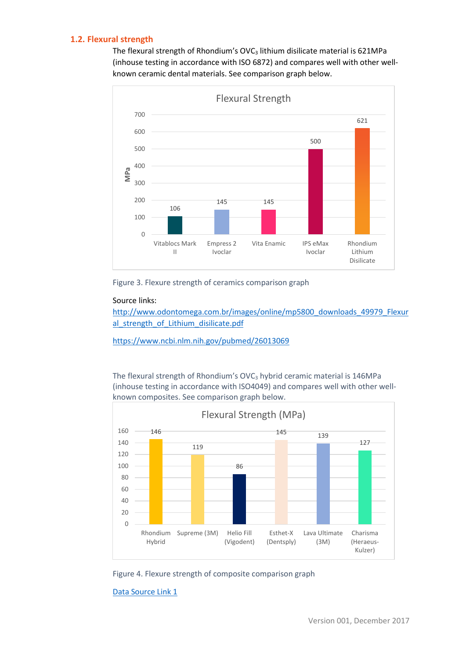#### <span id="page-4-0"></span>**1.2. Flexural strength**

The flexural strength of Rhondium's OVC<sub>3</sub> lithium disilicate material is 621MPa (inhouse testing in accordance with ISO 6872) and compares well with other wellknown ceramic dental materials. See comparison graph below.



Figure 3. Flexure strength of ceramics comparison graph

#### Source links:

[http://www.odontomega.com.br/images/online/mp5800\\_downloads\\_49979\\_Flexur](http://www.odontomega.com.br/images/online/mp5800_downloads_49979_Flexural_strength_of_Lithium_disilicate.pdf) al strength of Lithium disilicate.pdf

<https://www.ncbi.nlm.nih.gov/pubmed/26013069>

The flexural strength of Rhondium's OVC<sub>3</sub> hybrid ceramic material is 146MPa (inhouse testing in accordance with ISO4049) and compares well with other wellknown composites. See comparison graph below.



Figure 4. Flexure strength of composite comparison graph

[Data Source Link 1](http://www.scielo.br/scielo.php?script=sci_arttext&pid=S1516-14392010000100012)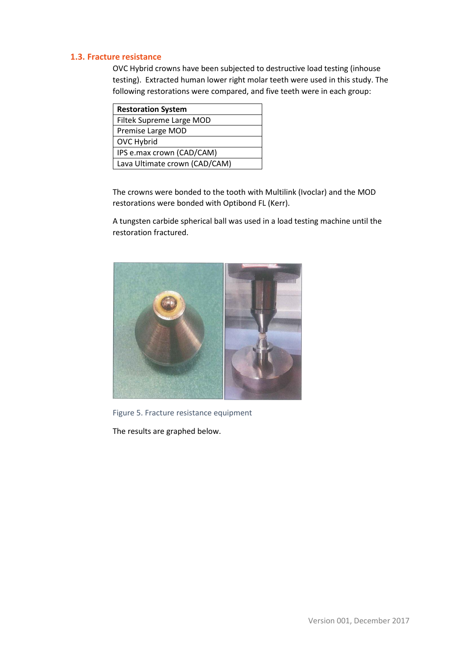#### <span id="page-5-0"></span>**1.3. Fracture resistance**

OVC Hybrid crowns have been subjected to destructive load testing (inhouse testing). Extracted human lower right molar teeth were used in this study. The following restorations were compared, and five teeth were in each group:

| <b>Restoration System</b>     |  |  |
|-------------------------------|--|--|
| Filtek Supreme Large MOD      |  |  |
| Premise Large MOD             |  |  |
| <b>OVC Hybrid</b>             |  |  |
| IPS e.max crown (CAD/CAM)     |  |  |
| Lava Ultimate crown (CAD/CAM) |  |  |

The crowns were bonded to the tooth with Multilink (Ivoclar) and the MOD restorations were bonded with Optibond FL (Kerr).

A tungsten carbide spherical ball was used in a load testing machine until the restoration fractured.



Figure 5. Fracture resistance equipment

The results are graphed below.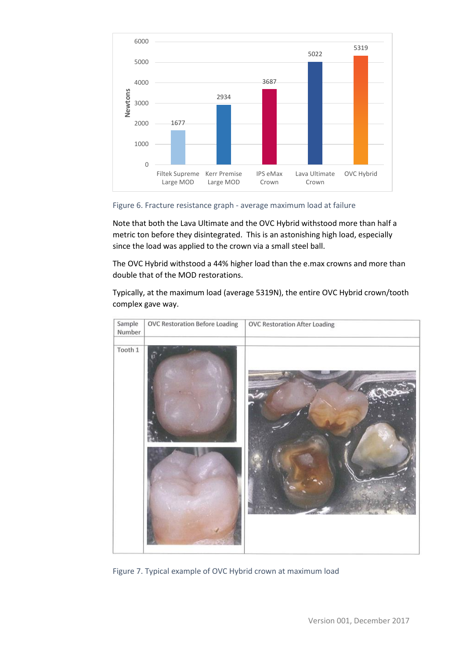

Figure 6. Fracture resistance graph - average maximum load at failure

Note that both the Lava Ultimate and the OVC Hybrid withstood more than half a metric ton before they disintegrated. This is an astonishing high load, especially since the load was applied to the crown via a small steel ball.

The OVC Hybrid withstood a 44% higher load than the e.max crowns and more than double that of the MOD restorations.

Typically, at the maximum load (average 5319N), the entire OVC Hybrid crown/tooth complex gave way.



Figure 7. Typical example of OVC Hybrid crown at maximum load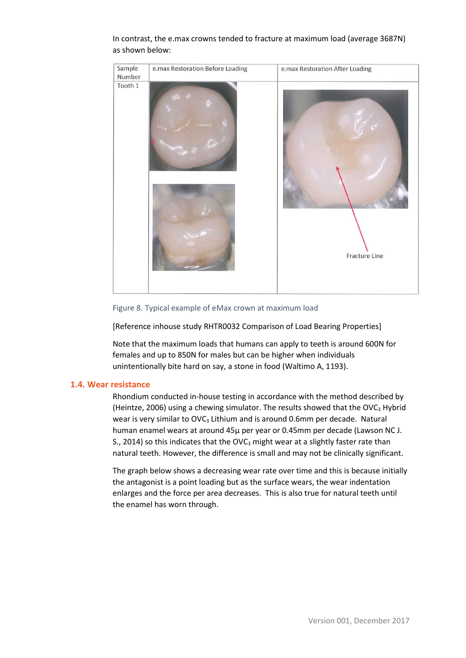

#### In contrast, the e.max crowns tended to fracture at maximum load (average 3687N) as shown below:

Figure 8. Typical example of eMax crown at maximum load

[Reference inhouse study RHTR0032 Comparison of Load Bearing Properties]

Note that the maximum loads that humans can apply to teeth is around 600N for females and up to 850N for males but can be higher when individuals unintentionally bite hard on say, a stone in food (Waltimo A, 1193).

#### <span id="page-7-0"></span>**1.4. Wear resistance**

Rhondium conducted in-house testing in accordance with the method described by (Heintze, 2006) using a chewing simulator. The results showed that the OVC<sub>3</sub> Hybrid wear is very similar to OVC<sub>3</sub> Lithium and is around 0.6mm per decade. Natural human enamel wears at around 45μ per year or 0.45mm per decade (Lawson NC J. S., 2014) so this indicates that the OVC<sub>3</sub> might wear at a slightly faster rate than natural teeth. However, the difference is small and may not be clinically significant.

The graph below shows a decreasing wear rate over time and this is because initially the antagonist is a point loading but as the surface wears, the wear indentation enlarges and the force per area decreases. This is also true for natural teeth until the enamel has worn through.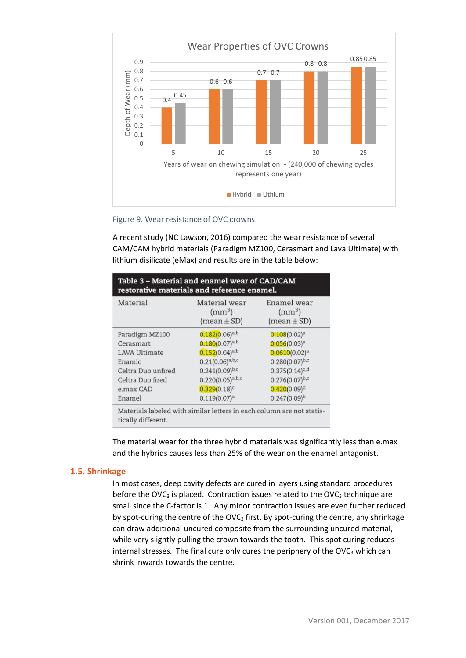

Figure 9. Wear resistance of OVC crowns

A recent study (NC Lawson, 2016) compared the wear resistance of several CAM/CAM hybrid materials (Paradigm MZ100, Cerasmart and Lava Ultimate) with lithium disilicate (eMax) and results are in the table below:

| Table 3 - Material and enamel wear of CAD/CAM<br>restorative materials and reference enamel. |                                                  |                                                |  |  |  |
|----------------------------------------------------------------------------------------------|--------------------------------------------------|------------------------------------------------|--|--|--|
| Material                                                                                     | Material wear<br>$\rm (mm^3)$<br>$(mean \pm SD)$ | Enamel wear<br>$\rm (mm^3)$<br>$(mean \pm SD)$ |  |  |  |
| Paradigm MZ100                                                                               | $0.182(0.06)^{a,b}$                              | $0.108(0.02)^a$                                |  |  |  |
| Cerasmart                                                                                    | $0.180(0.07)^{a,b}$                              | 0.056(0.03) <sup>a</sup>                       |  |  |  |
| <b>LAVA Ultimate</b>                                                                         | $0.152(0.04)^{a,b}$                              | $0.0610(0.02)^a$                               |  |  |  |
| Enamic                                                                                       | $0.21(0.06)^{a,b,c}$                             | $0.280(0.07)^{b,c}$                            |  |  |  |
| Celtra Duo unfired                                                                           | $0.241(0.09)^{b,c}$                              | $0.375(0.14)^{c,d}$                            |  |  |  |
| Celtra Duo fired                                                                             | $0.220(0.05)^{a,b,c}$                            | $0.276(0.07)^{b,c}$                            |  |  |  |
| e.max CAD                                                                                    | $0.329(0.18)^c$                                  | $0.420(0.09)^d$                                |  |  |  |
| Enamel                                                                                       | 0.119(0.07) <sup>a</sup>                         | $0.247(0.09)^{b}$                              |  |  |  |
| Materials labeled with similar letters in each column are not statis-<br>tically different.  |                                                  |                                                |  |  |  |

The material wear for the three hybrid materials was significantly less than e.max and the hybrids causes less than 25% of the wear on the enamel antagonist.

#### <span id="page-8-0"></span>**1.5. Shrinkage**

In most cases, deep cavity defects are cured in layers using standard procedures before the OVC<sub>3</sub> is placed. Contraction issues related to the OVC<sub>3</sub> technique are small since the C-factor is 1. Any minor contraction issues are even further reduced by spot-curing the centre of the  $OVC<sub>3</sub>$  first. By spot-curing the centre, any shrinkage can draw additional uncured composite from the surrounding uncured material, while very slightly pulling the crown towards the tooth. This spot curing reduces internal stresses. The final cure only cures the periphery of the  $\text{OVC}_3$  which can shrink inwards towards the centre.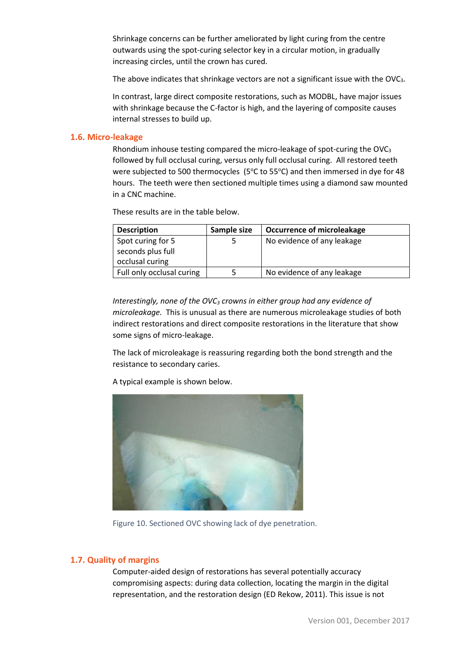Shrinkage concerns can be further ameliorated by light curing from the centre outwards using the spot-curing selector key in a circular motion, in gradually increasing circles, until the crown has cured.

The above indicates that shrinkage vectors are not a significant issue with the OVC3.

In contrast, large direct composite restorations, such as MODBL, have major issues with shrinkage because the C-factor is high, and the layering of composite causes internal stresses to build up.

#### <span id="page-9-0"></span>**1.6. Micro-leakage**

Rhondium inhouse testing compared the micro-leakage of spot-curing the OVC<sup>3</sup> followed by full occlusal curing, versus only full occlusal curing. All restored teeth were subjected to 500 thermocycles (5 $\degree$ C to 55 $\degree$ C) and then immersed in dye for 48 hours. The teeth were then sectioned multiple times using a diamond saw mounted in a CNC machine.

These results are in the table below.

| <b>Description</b>        | Sample size | <b>Occurrence of microleakage</b> |
|---------------------------|-------------|-----------------------------------|
| Spot curing for 5         |             | No evidence of any leakage        |
| seconds plus full         |             |                                   |
| occlusal curing           |             |                                   |
| Full only occlusal curing |             | No evidence of any leakage        |

*Interestingly, none of the OVC<sup>3</sup> crowns in either group had any evidence of microleakage.* This is unusual as there are numerous microleakage studies of both indirect restorations and direct composite restorations in the literature that show some signs of micro-leakage.

The lack of microleakage is reassuring regarding both the bond strength and the resistance to secondary caries.



A typical example is shown below.

Figure 10. Sectioned OVC showing lack of dye penetration.

#### <span id="page-9-1"></span>**1.7. Quality of margins**

Computer-aided design of restorations has several potentially accuracy compromising aspects: during data collection, locating the margin in the digital representation, and the restoration design (ED Rekow, 2011). This issue is not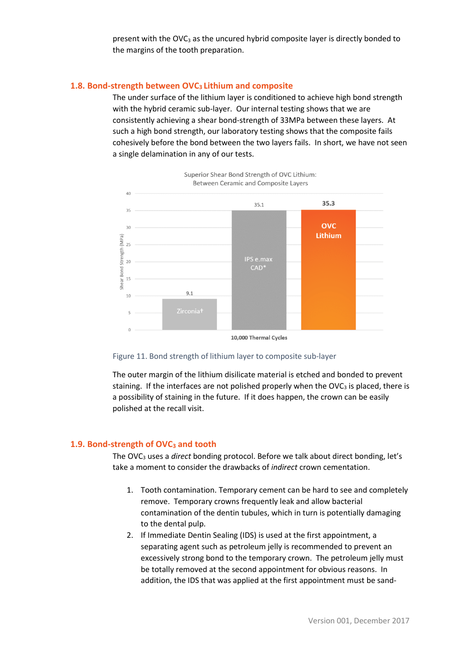present with the  $OVC<sub>3</sub>$  as the uncured hybrid composite layer is directly bonded to the margins of the tooth preparation.

#### <span id="page-10-0"></span>**1.8. Bond-strength between OVC3 Lithium and composite**

The under surface of the lithium layer is conditioned to achieve high bond strength with the hybrid ceramic sub-layer. Our internal testing shows that we are consistently achieving a shear bond-strength of 33MPa between these layers. At such a high bond strength, our laboratory testing shows that the composite fails cohesively before the bond between the two layers fails. In short, we have not seen a single delamination in any of our tests.



10,000 Thermal Cycles



The outer margin of the lithium disilicate material is etched and bonded to prevent staining. If the interfaces are not polished properly when the  $OVC<sub>3</sub>$  is placed, there is a possibility of staining in the future. If it does happen, the crown can be easily polished at the recall visit.

#### <span id="page-10-1"></span>**1.9. Bond-strength of OVC<sup>3</sup> and tooth**

The OVC<sup>3</sup> uses a *direct* bonding protocol. Before we talk about direct bonding, let's take a moment to consider the drawbacks of *indirect* crown cementation.

- 1. Tooth contamination. Temporary cement can be hard to see and completely remove. Temporary crowns frequently leak and allow bacterial contamination of the dentin tubules, which in turn is potentially damaging to the dental pulp.
- 2. If Immediate Dentin Sealing (IDS) is used at the first appointment, a separating agent such as petroleum jelly is recommended to prevent an excessively strong bond to the temporary crown. The petroleum jelly must be totally removed at the second appointment for obvious reasons. In addition, the IDS that was applied at the first appointment must be sand-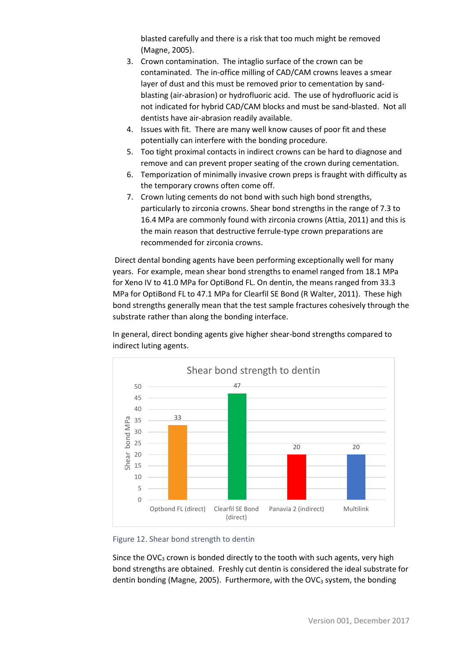blasted carefully and there is a risk that too much might be removed (Magne, 2005).

- 3. Crown contamination. The intaglio surface of the crown can be contaminated. The in-office milling of CAD/CAM crowns leaves a smear layer of dust and this must be removed prior to cementation by sandblasting (air-abrasion) or hydrofluoric acid. The use of hydrofluoric acid is not indicated for hybrid CAD/CAM blocks and must be sand-blasted. Not all dentists have air-abrasion readily available.
- 4. Issues with fit. There are many well know causes of poor fit and these potentially can interfere with the bonding procedure.
- 5. Too tight proximal contacts in indirect crowns can be hard to diagnose and remove and can prevent proper seating of the crown during cementation.
- 6. Temporization of minimally invasive crown preps is fraught with difficulty as the temporary crowns often come off.
- 7. Crown luting cements do not bond with such high bond strengths, particularly to zirconia crowns. Shear bond strengths in the range of 7.3 to 16.4 MPa are commonly found with zirconia crowns (Attia, 2011) and this is the main reason that destructive ferrule-type crown preparations are recommended for zirconia crowns.

Direct dental bonding agents have been performing exceptionally well for many years. For example, mean shear bond strengths to enamel ranged from 18.1 MPa for Xeno IV to 41.0 MPa for OptiBond FL. On dentin, the means ranged from 33.3 MPa for OptiBond FL to 47.1 MPa for Clearfil SE Bond (R Walter, 2011). These high bond strengths generally mean that the test sample fractures cohesively through the substrate rather than along the bonding interface.

In general, direct bonding agents give higher shear-bond strengths compared to indirect luting agents.





Since the OVC<sub>3</sub> crown is bonded directly to the tooth with such agents, very high bond strengths are obtained. Freshly cut dentin is considered the ideal substrate for dentin bonding (Magne, 2005). Furthermore, with the OVC<sub>3</sub> system, the bonding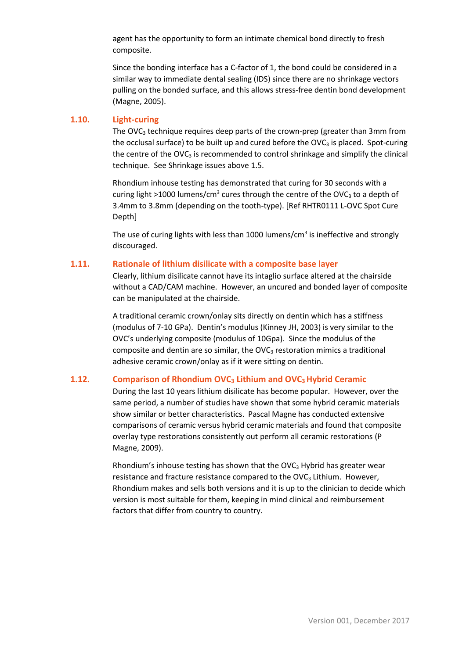agent has the opportunity to form an intimate chemical bond directly to fresh composite.

Since the bonding interface has a C-factor of 1, the bond could be considered in a similar way to immediate dental sealing (IDS) since there are no shrinkage vectors pulling on the bonded surface, and this allows stress-free dentin bond development (Magne, 2005).

#### <span id="page-12-0"></span>**1.10. Light-curing**

The OVC<sub>3</sub> technique requires deep parts of the crown-prep (greater than 3mm from the occlusal surface) to be built up and cured before the  $OVC<sub>3</sub>$  is placed. Spot-curing the centre of the  $OVC<sub>3</sub>$  is recommended to control shrinkage and simplify the clinical technique. See Shrinkage issues abov[e 1.5.](#page-8-0)

Rhondium inhouse testing has demonstrated that curing for 30 seconds with a curing light >1000 lumens/cm<sup>3</sup> cures through the centre of the OVC<sub>3</sub> to a depth of 3.4mm to 3.8mm (depending on the tooth-type). [Ref RHTR0111 L-OVC Spot Cure Depth]

The use of curing lights with less than 1000 lumens/cm<sup>3</sup> is ineffective and strongly discouraged.

#### <span id="page-12-1"></span>**1.11. Rationale of lithium disilicate with a composite base layer**

Clearly, lithium disilicate cannot have its intaglio surface altered at the chairside without a CAD/CAM machine. However, an uncured and bonded layer of composite can be manipulated at the chairside.

A traditional ceramic crown/onlay sits directly on dentin which has a stiffness (modulus of 7-10 GPa). Dentin's modulus (Kinney JH, 2003) is very similar to the OVC's underlying composite (modulus of 10Gpa). Since the modulus of the composite and dentin are so similar, the OVC<sub>3</sub> restoration mimics a traditional adhesive ceramic crown/onlay as if it were sitting on dentin.

#### <span id="page-12-2"></span>**1.12. Comparison of Rhondium OVC<sup>3</sup> Lithium and OVC3 Hybrid Ceramic**

During the last 10 years lithium disilicate has become popular. However, over the same period, a number of studies have shown that some hybrid ceramic materials show similar or better characteristics. Pascal Magne has conducted extensive comparisons of ceramic versus hybrid ceramic materials and found that composite overlay type restorations consistently out perform all ceramic restorations (P Magne, 2009).

Rhondium's inhouse testing has shown that the OVC<sub>3</sub> Hybrid has greater wear resistance and fracture resistance compared to the  $OVC<sub>3</sub>$  Lithium. However, Rhondium makes and sells both versions and it is up to the clinician to decide which version is most suitable for them, keeping in mind clinical and reimbursement factors that differ from country to country.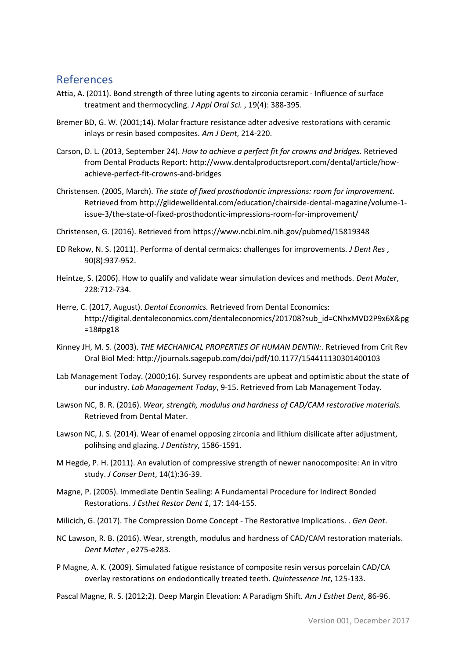## <span id="page-13-0"></span>References

- Attia, A. (2011). Bond strength of three luting agents to zirconia ceramic Influence of surface treatment and thermocycling. *J Appl Oral Sci.* , 19(4): 388-395.
- Bremer BD, G. W. (2001;14). Molar fracture resistance adter advesive restorations with ceramic inlays or resin based composites. *Am J Dent*, 214-220.
- Carson, D. L. (2013, September 24). *How to achieve a perfect fit for crowns and bridges*. Retrieved from Dental Products Report: http://www.dentalproductsreport.com/dental/article/howachieve-perfect-fit-crowns-and-bridges
- Christensen. (2005, March). *The state of fixed prosthodontic impressions: room for improvement.* Retrieved from http://glidewelldental.com/education/chairside-dental-magazine/volume-1 issue-3/the-state-of-fixed-prosthodontic-impressions-room-for-improvement/
- Christensen, G. (2016). Retrieved from https://www.ncbi.nlm.nih.gov/pubmed/15819348
- ED Rekow, N. S. (2011). Performa of dental cermaics: challenges for improvements. *J Dent Res* , 90(8):937-952.
- Heintze, S. (2006). How to qualify and validate wear simulation devices and methods. *Dent Mater*, 228:712-734.
- Herre, C. (2017, August). *Dental Economics.* Retrieved from Dental Economics: http://digital.dentaleconomics.com/dentaleconomics/201708?sub\_id=CNhxMVD2P9x6X&pg =18#pg18
- Kinney JH, M. S. (2003). *THE MECHANICAL PROPERTIES OF HUMAN DENTIN:*. Retrieved from Crit Rev Oral Biol Med: http://journals.sagepub.com/doi/pdf/10.1177/154411130301400103
- Lab Management Today. (2000;16). Survey respondents are upbeat and optimistic about the state of our industry. *Lab Management Today*, 9-15. Retrieved from Lab Management Today.
- Lawson NC, B. R. (2016). *Wear, strength, modulus and hardness of CAD/CAM restorative materials.* Retrieved from Dental Mater.
- Lawson NC, J. S. (2014). Wear of enamel opposing zirconia and lithium disilicate after adjustment, polihsing and glazing. *J Dentistry*, 1586-1591.
- M Hegde, P. H. (2011). An evalution of compressive strength of newer nanocomposite: An in vitro study. *J Conser Dent*, 14(1):36-39.
- Magne, P. (2005). Immediate Dentin Sealing: A Fundamental Procedure for Indirect Bonded Restorations. *J Esthet Restor Dent 1*, 17: 144-155.
- Milicich, G. (2017). The Compression Dome Concept The Restorative Implications. . *Gen Dent*.
- NC Lawson, R. B. (2016). Wear, strength, modulus and hardness of CAD/CAM restoration materials. *Dent Mater* , e275-e283.
- P Magne, A. K. (2009). Simulated fatigue resistance of composite resin versus porcelain CAD/CA overlay restorations on endodontically treated teeth. *Quintessence Int*, 125-133.

Pascal Magne, R. S. (2012;2). Deep Margin Elevation: A Paradigm Shift. *Am J Esthet Dent*, 86-96.